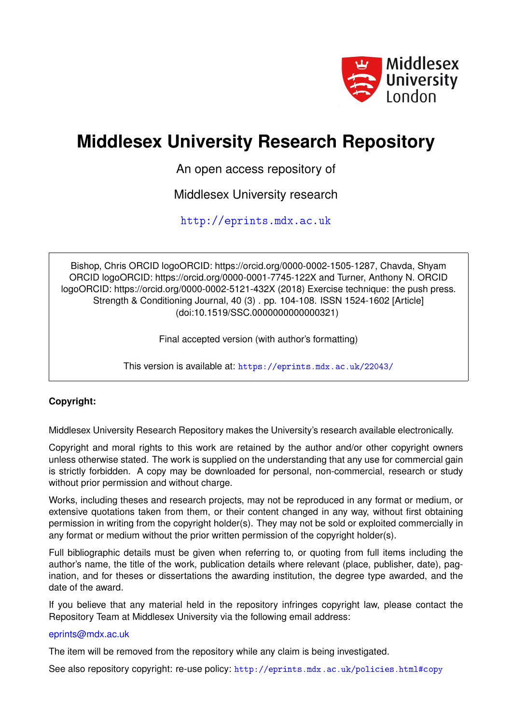

# **Middlesex University Research Repository**

An open access repository of

Middlesex University research

<http://eprints.mdx.ac.uk>

Bishop, Chris ORCID logoORCID: https://orcid.org/0000-0002-1505-1287, Chavda, Shyam ORCID logoORCID: https://orcid.org/0000-0001-7745-122X and Turner, Anthony N. ORCID logoORCID: https://orcid.org/0000-0002-5121-432X (2018) Exercise technique: the push press. Strength & Conditioning Journal, 40 (3) . pp. 104-108. ISSN 1524-1602 [Article] (doi:10.1519/SSC.0000000000000321)

Final accepted version (with author's formatting)

This version is available at: <https://eprints.mdx.ac.uk/22043/>

### **Copyright:**

Middlesex University Research Repository makes the University's research available electronically.

Copyright and moral rights to this work are retained by the author and/or other copyright owners unless otherwise stated. The work is supplied on the understanding that any use for commercial gain is strictly forbidden. A copy may be downloaded for personal, non-commercial, research or study without prior permission and without charge.

Works, including theses and research projects, may not be reproduced in any format or medium, or extensive quotations taken from them, or their content changed in any way, without first obtaining permission in writing from the copyright holder(s). They may not be sold or exploited commercially in any format or medium without the prior written permission of the copyright holder(s).

Full bibliographic details must be given when referring to, or quoting from full items including the author's name, the title of the work, publication details where relevant (place, publisher, date), pagination, and for theses or dissertations the awarding institution, the degree type awarded, and the date of the award.

If you believe that any material held in the repository infringes copyright law, please contact the Repository Team at Middlesex University via the following email address:

#### [eprints@mdx.ac.uk](mailto:eprints@mdx.ac.uk)

The item will be removed from the repository while any claim is being investigated.

See also repository copyright: re-use policy: <http://eprints.mdx.ac.uk/policies.html#copy>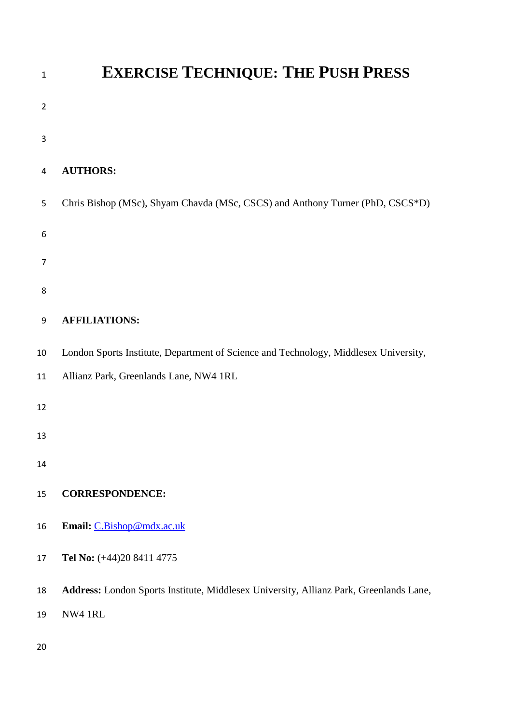| $\mathbf{1}$   | <b>EXERCISE TECHNIQUE: THE PUSH PRESS</b>                                              |
|----------------|----------------------------------------------------------------------------------------|
| $\overline{2}$ |                                                                                        |
| $\mathsf 3$    |                                                                                        |
| 4              | <b>AUTHORS:</b>                                                                        |
| 5              | Chris Bishop (MSc), Shyam Chavda (MSc, CSCS) and Anthony Turner (PhD, CSCS*D)          |
| 6              |                                                                                        |
| $\overline{7}$ |                                                                                        |
| 8              |                                                                                        |
| 9              | <b>AFFILIATIONS:</b>                                                                   |
| 10             | London Sports Institute, Department of Science and Technology, Middlesex University,   |
| 11             | Allianz Park, Greenlands Lane, NW4 1RL                                                 |
| 12             |                                                                                        |
| 13             |                                                                                        |
| 14             |                                                                                        |
| 15             | <b>CORRESPONDENCE:</b>                                                                 |
| 16             | Email: C.Bishop@mdx.ac.uk                                                              |
| 17             | Tel No: (+44)20 8411 4775                                                              |
| 18             | Address: London Sports Institute, Middlesex University, Allianz Park, Greenlands Lane, |
| 19             | NW4 1RL                                                                                |
| 20             |                                                                                        |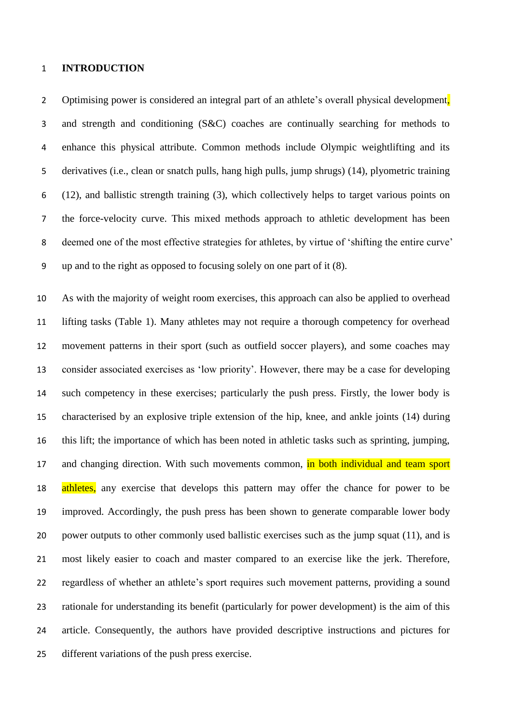#### **INTRODUCTION**

2 Optimising power is considered an integral part of an athlete's overall physical development, and strength and conditioning (S&C) coaches are continually searching for methods to enhance this physical attribute. Common methods include Olympic weightlifting and its derivatives (i.e., clean or snatch pulls, hang high pulls, jump shrugs) (14), plyometric training (12), and ballistic strength training (3), which collectively helps to target various points on the force-velocity curve. This mixed methods approach to athletic development has been deemed one of the most effective strategies for athletes, by virtue of 'shifting the entire curve' up and to the right as opposed to focusing solely on one part of it (8).

 As with the majority of weight room exercises, this approach can also be applied to overhead lifting tasks (Table 1). Many athletes may not require a thorough competency for overhead movement patterns in their sport (such as outfield soccer players), and some coaches may consider associated exercises as 'low priority'. However, there may be a case for developing such competency in these exercises; particularly the push press. Firstly, the lower body is characterised by an explosive triple extension of the hip, knee, and ankle joints (14) during this lift; the importance of which has been noted in athletic tasks such as sprinting, jumping, 17 and changing direction. With such movements common, in both individual and team sport 18 athletes, any exercise that develops this pattern may offer the chance for power to be improved. Accordingly, the push press has been shown to generate comparable lower body 20 power outputs to other commonly used ballistic exercises such as the jump squat (11), and is most likely easier to coach and master compared to an exercise like the jerk. Therefore, regardless of whether an athlete's sport requires such movement patterns, providing a sound rationale for understanding its benefit (particularly for power development) is the aim of this article. Consequently, the authors have provided descriptive instructions and pictures for different variations of the push press exercise.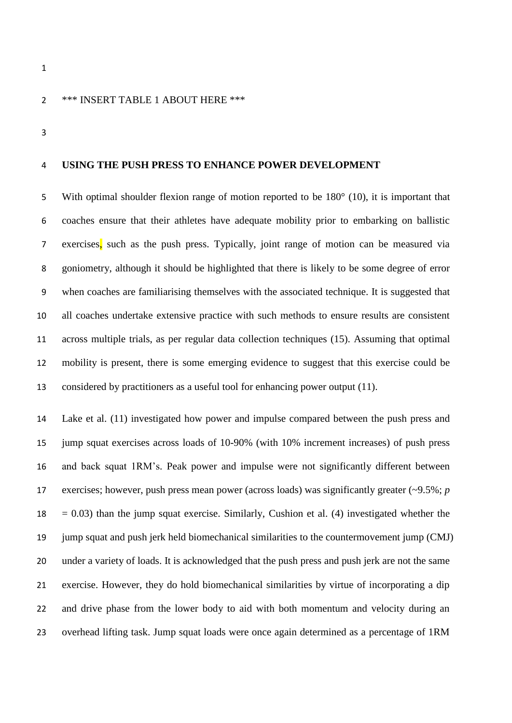#### \*\*\* INSERT TABLE 1 ABOUT HERE \*\*\*

#### **USING THE PUSH PRESS TO ENHANCE POWER DEVELOPMENT**

 With optimal shoulder flexion range of motion reported to be 180° (10), it is important that coaches ensure that their athletes have adequate mobility prior to embarking on ballistic exercises, such as the push press. Typically, joint range of motion can be measured via goniometry, although it should be highlighted that there is likely to be some degree of error when coaches are familiarising themselves with the associated technique. It is suggested that all coaches undertake extensive practice with such methods to ensure results are consistent across multiple trials, as per regular data collection techniques (15). Assuming that optimal mobility is present, there is some emerging evidence to suggest that this exercise could be considered by practitioners as a useful tool for enhancing power output (11).

 Lake et al. (11) investigated how power and impulse compared between the push press and jump squat exercises across loads of 10-90% (with 10% increment increases) of push press and back squat 1RM's. Peak power and impulse were not significantly different between exercises; however, push press mean power (across loads) was significantly greater (~9.5%; *p*   $18 = 0.03$ ) than the jump squat exercise. Similarly, Cushion et al. (4) investigated whether the jump squat and push jerk held biomechanical similarities to the countermovement jump (CMJ) under a variety of loads. It is acknowledged that the push press and push jerk are not the same exercise. However, they do hold biomechanical similarities by virtue of incorporating a dip and drive phase from the lower body to aid with both momentum and velocity during an overhead lifting task. Jump squat loads were once again determined as a percentage of 1RM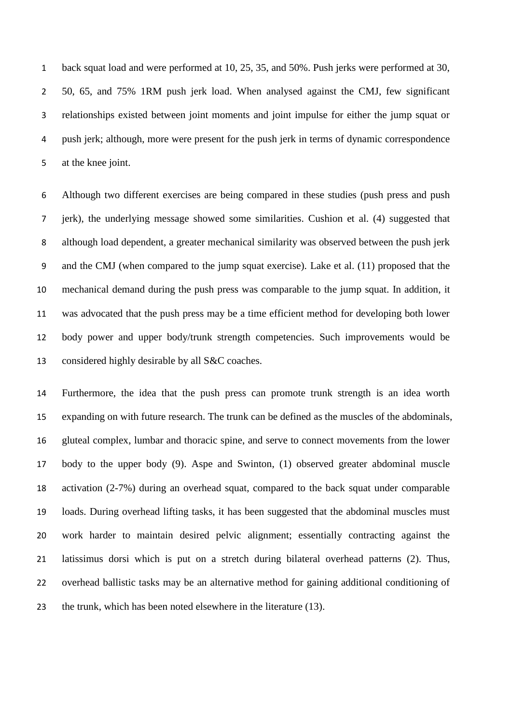back squat load and were performed at 10, 25, 35, and 50%. Push jerks were performed at 30, 50, 65, and 75% 1RM push jerk load. When analysed against the CMJ, few significant relationships existed between joint moments and joint impulse for either the jump squat or push jerk; although, more were present for the push jerk in terms of dynamic correspondence at the knee joint.

 Although two different exercises are being compared in these studies (push press and push jerk), the underlying message showed some similarities. Cushion et al. (4) suggested that although load dependent, a greater mechanical similarity was observed between the push jerk and the CMJ (when compared to the jump squat exercise). Lake et al. (11) proposed that the mechanical demand during the push press was comparable to the jump squat. In addition, it was advocated that the push press may be a time efficient method for developing both lower body power and upper body/trunk strength competencies. Such improvements would be considered highly desirable by all S&C coaches.

 Furthermore, the idea that the push press can promote trunk strength is an idea worth expanding on with future research. The trunk can be defined as the muscles of the abdominals, gluteal complex, lumbar and thoracic spine, and serve to connect movements from the lower body to the upper body (9). Aspe and Swinton, (1) observed greater abdominal muscle activation (2-7%) during an overhead squat, compared to the back squat under comparable loads. During overhead lifting tasks, it has been suggested that the abdominal muscles must work harder to maintain desired pelvic alignment; essentially contracting against the latissimus dorsi which is put on a stretch during bilateral overhead patterns (2). Thus, overhead ballistic tasks may be an alternative method for gaining additional conditioning of 23 the trunk, which has been noted elsewhere in the literature (13).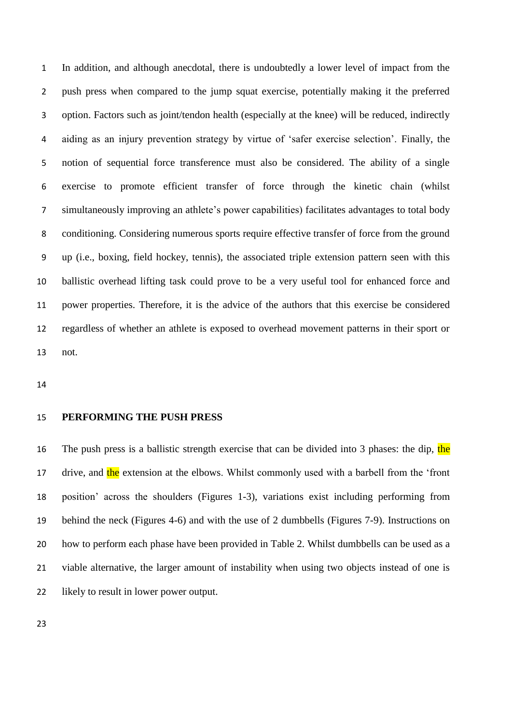In addition, and although anecdotal, there is undoubtedly a lower level of impact from the push press when compared to the jump squat exercise, potentially making it the preferred option. Factors such as joint/tendon health (especially at the knee) will be reduced, indirectly aiding as an injury prevention strategy by virtue of 'safer exercise selection'. Finally, the notion of sequential force transference must also be considered. The ability of a single exercise to promote efficient transfer of force through the kinetic chain (whilst simultaneously improving an athlete's power capabilities) facilitates advantages to total body conditioning. Considering numerous sports require effective transfer of force from the ground up (i.e., boxing, field hockey, tennis), the associated triple extension pattern seen with this ballistic overhead lifting task could prove to be a very useful tool for enhanced force and power properties. Therefore, it is the advice of the authors that this exercise be considered regardless of whether an athlete is exposed to overhead movement patterns in their sport or not.

#### **PERFORMING THE PUSH PRESS**

16 The push press is a ballistic strength exercise that can be divided into 3 phases: the dip, the 17 drive, and the extension at the elbows. Whilst commonly used with a barbell from the 'front position' across the shoulders (Figures 1-3), variations exist including performing from behind the neck (Figures 4-6) and with the use of 2 dumbbells (Figures 7-9). Instructions on how to perform each phase have been provided in Table 2. Whilst dumbbells can be used as a viable alternative, the larger amount of instability when using two objects instead of one is likely to result in lower power output.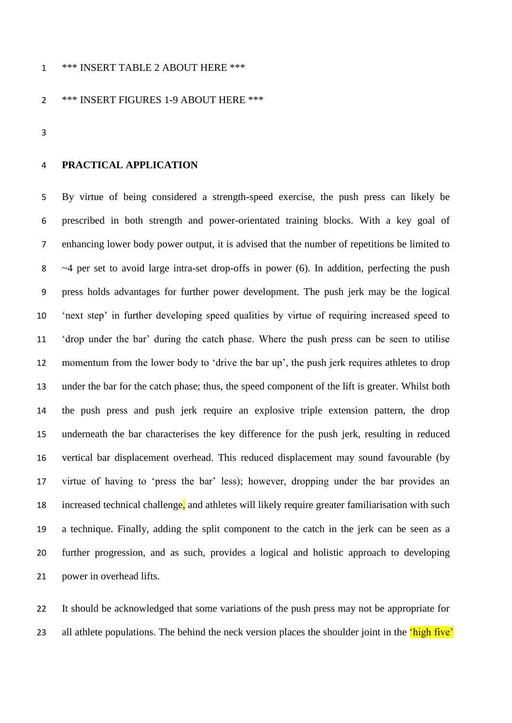#### \*\*\* INSERT TABLE 2 ABOUT HERE \*\*\*

#### \*\*\* INSERT FIGURES 1-9 ABOUT HERE \*\*\*

#### **PRACTICAL APPLICATION**

 By virtue of being considered a strength-speed exercise, the push press can likely be prescribed in both strength and power-orientated training blocks. With a key goal of enhancing lower body power output, it is advised that the number of repetitions be limited to ~4 per set to avoid large intra-set drop-offs in power (6). In addition, perfecting the push press holds advantages for further power development. The push jerk may be the logical 'next step' in further developing speed qualities by virtue of requiring increased speed to 'drop under the bar' during the catch phase. Where the push press can be seen to utilise momentum from the lower body to 'drive the bar up', the push jerk requires athletes to drop under the bar for the catch phase; thus, the speed component of the lift is greater. Whilst both the push press and push jerk require an explosive triple extension pattern, the drop underneath the bar characterises the key difference for the push jerk, resulting in reduced vertical bar displacement overhead. This reduced displacement may sound favourable (by virtue of having to 'press the bar' less); however, dropping under the bar provides an 18 increased technical challenge, and athletes will likely require greater familiarisation with such a technique. Finally, adding the split component to the catch in the jerk can be seen as a further progression, and as such, provides a logical and holistic approach to developing power in overhead lifts.

 It should be acknowledged that some variations of the push press may not be appropriate for 23 all athlete populations. The behind the neck version places the shoulder joint in the *'high five'*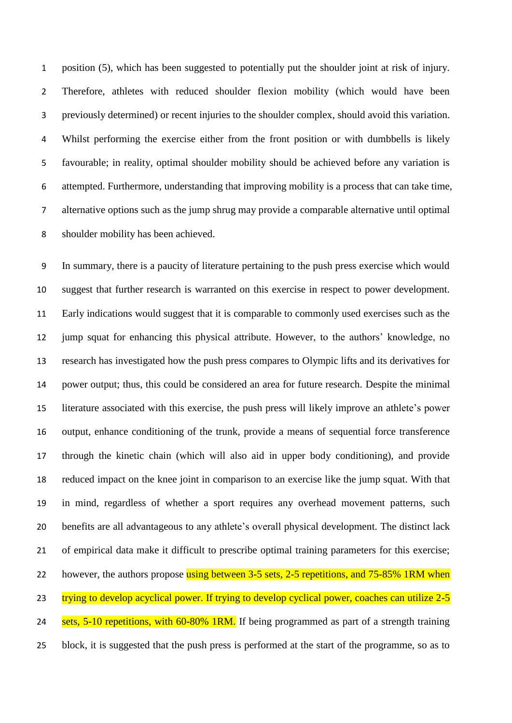position (5), which has been suggested to potentially put the shoulder joint at risk of injury. Therefore, athletes with reduced shoulder flexion mobility (which would have been previously determined) or recent injuries to the shoulder complex, should avoid this variation. Whilst performing the exercise either from the front position or with dumbbells is likely favourable; in reality, optimal shoulder mobility should be achieved before any variation is attempted. Furthermore, understanding that improving mobility is a process that can take time, alternative options such as the jump shrug may provide a comparable alternative until optimal shoulder mobility has been achieved.

 In summary, there is a paucity of literature pertaining to the push press exercise which would suggest that further research is warranted on this exercise in respect to power development. Early indications would suggest that it is comparable to commonly used exercises such as the jump squat for enhancing this physical attribute. However, to the authors' knowledge, no research has investigated how the push press compares to Olympic lifts and its derivatives for power output; thus, this could be considered an area for future research. Despite the minimal literature associated with this exercise, the push press will likely improve an athlete's power output, enhance conditioning of the trunk, provide a means of sequential force transference through the kinetic chain (which will also aid in upper body conditioning), and provide reduced impact on the knee joint in comparison to an exercise like the jump squat. With that in mind, regardless of whether a sport requires any overhead movement patterns, such benefits are all advantageous to any athlete's overall physical development. The distinct lack of empirical data make it difficult to prescribe optimal training parameters for this exercise; 22 however, the authors propose using between 3-5 sets, 2-5 repetitions, and 75-85% 1RM when 23 trying to develop acyclical power. If trying to develop cyclical power, coaches can utilize 2-5 24 sets, 5-10 repetitions, with 60-80% 1RM. If being programmed as part of a strength training block, it is suggested that the push press is performed at the start of the programme, so as to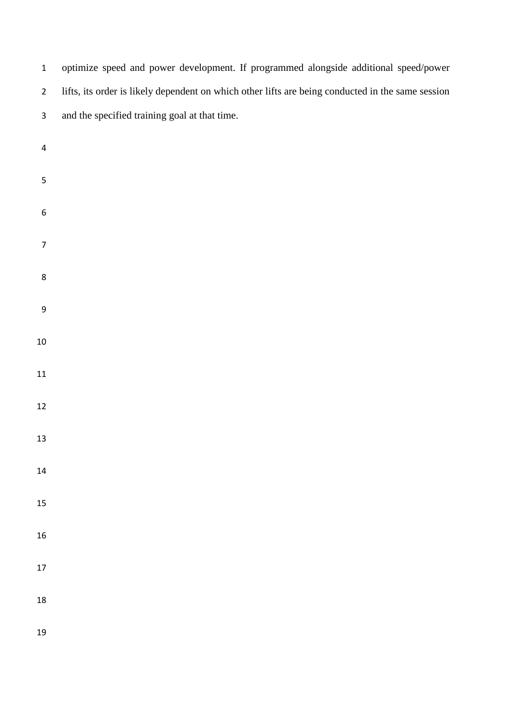optimize speed and power development. If programmed alongside additional speed/power lifts, its order is likely dependent on which other lifts are being conducted in the same session and the specified training goal at that time.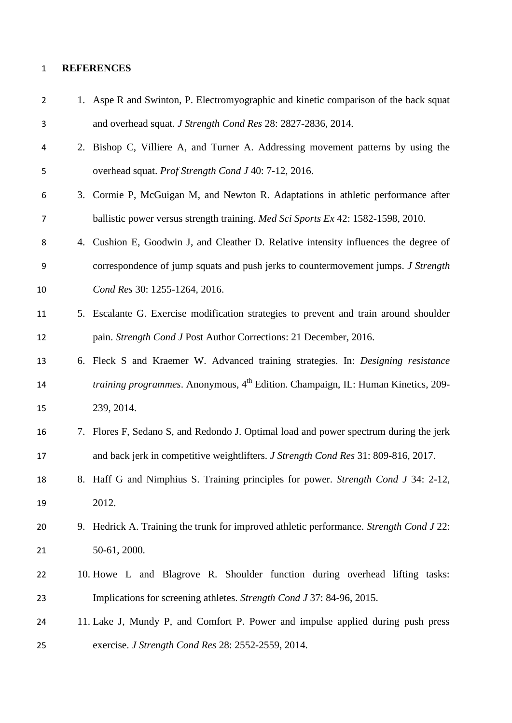#### **REFERENCES**

| $\overline{2}$ | 1. Aspe R and Swinton, P. Electromyographic and kinetic comparison of the back squat                |
|----------------|-----------------------------------------------------------------------------------------------------|
| 3              | and overhead squat. J Strength Cond Res 28: 2827-2836, 2014.                                        |
| 4              | 2. Bishop C, Villiere A, and Turner A. Addressing movement patterns by using the                    |
| 5              | overhead squat. Prof Strength Cond J 40: 7-12, 2016.                                                |
| 6              | 3. Cormie P, McGuigan M, and Newton R. Adaptations in athletic performance after                    |
| 7              | ballistic power versus strength training. Med Sci Sports Ex 42: 1582-1598, 2010.                    |
| 8              | 4. Cushion E, Goodwin J, and Cleather D. Relative intensity influences the degree of                |
| 9              | correspondence of jump squats and push jerks to countermovement jumps. J Strength                   |
| 10             | Cond Res 30: 1255-1264, 2016.                                                                       |
| 11             | 5. Escalante G. Exercise modification strategies to prevent and train around shoulder               |
| 12             | pain. Strength Cond J Post Author Corrections: 21 December, 2016.                                   |
| 13             | 6. Fleck S and Kraemer W. Advanced training strategies. In: Designing resistance                    |
| 14             | <i>training programmes.</i> Anonymous, 4 <sup>th</sup> Edition. Champaign, IL: Human Kinetics, 209- |
| 15             | 239, 2014.                                                                                          |
| 16             | 7. Flores F, Sedano S, and Redondo J. Optimal load and power spectrum during the jerk               |
| 17             | and back jerk in competitive weightlifters. J Strength Cond Res 31: 809-816, 2017.                  |
| 18             | 8. Haff G and Nimphius S. Training principles for power. Strength Cond J 34: 2-12,                  |
| 19             | 2012.                                                                                               |
| 20             | 9. Hedrick A. Training the trunk for improved athletic performance. Strength Cond J 22:             |
| 21             | 50-61, 2000.                                                                                        |
| 22             | 10. Howe L and Blagrove R. Shoulder function during overhead lifting tasks:                         |
| 23             | Implications for screening athletes. Strength Cond J 37: 84-96, 2015.                               |
| 24             | 11. Lake J, Mundy P, and Comfort P. Power and impulse applied during push press                     |
| 25             | exercise. J Strength Cond Res 28: 2552-2559, 2014.                                                  |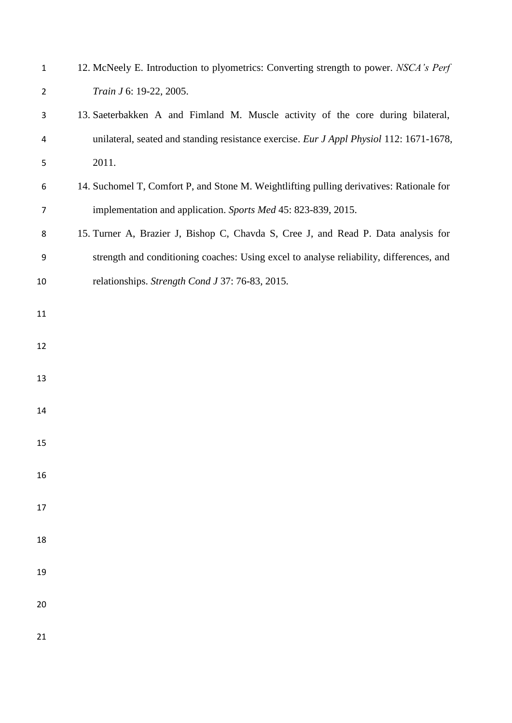| $\mathbf{1}$   | 12. McNeely E. Introduction to plyometrics: Converting strength to power. NSCA's Perf    |
|----------------|------------------------------------------------------------------------------------------|
| $\overline{2}$ | Train J 6: 19-22, 2005.                                                                  |
| 3              | 13. Saeterbakken A and Fimland M. Muscle activity of the core during bilateral,          |
| 4              | unilateral, seated and standing resistance exercise. Eur J Appl Physiol 112: 1671-1678,  |
| 5              | 2011.                                                                                    |
| 6              | 14. Suchomel T, Comfort P, and Stone M. Weightlifting pulling derivatives: Rationale for |
| 7              | implementation and application. Sports Med 45: 823-839, 2015.                            |
| 8              | 15. Turner A, Brazier J, Bishop C, Chavda S, Cree J, and Read P. Data analysis for       |
| 9              | strength and conditioning coaches: Using excel to analyse reliability, differences, and  |
| 10             | relationships. Strength Cond J 37: 76-83, 2015.                                          |
| 11             |                                                                                          |
|                |                                                                                          |
| 12             |                                                                                          |
| 13             |                                                                                          |
| 14             |                                                                                          |
|                |                                                                                          |
| 15             |                                                                                          |
| 16             |                                                                                          |
| 17             |                                                                                          |
|                |                                                                                          |
| 18             |                                                                                          |
| 19             |                                                                                          |
| 20             |                                                                                          |
|                |                                                                                          |
| 21             |                                                                                          |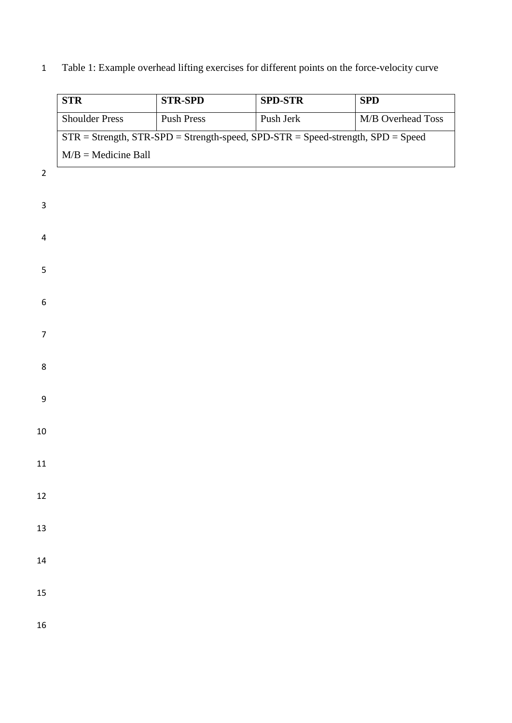## Table 1: Example overhead lifting exercises for different points on the force-velocity curve

| <b>STR</b>            | <b>STR-SPD</b>    | <b>SPD-STR</b>        | $\overline{\text{SPD}}$                                                                    |
|-----------------------|-------------------|-----------------------|--------------------------------------------------------------------------------------------|
| <b>Shoulder Press</b> | <b>Push Press</b> | Push Jerk             | M/B Overhead Toss                                                                          |
|                       |                   |                       |                                                                                            |
|                       |                   |                       |                                                                                            |
|                       |                   |                       |                                                                                            |
|                       |                   |                       |                                                                                            |
|                       |                   |                       |                                                                                            |
|                       |                   |                       |                                                                                            |
|                       |                   |                       |                                                                                            |
|                       |                   |                       |                                                                                            |
|                       |                   |                       |                                                                                            |
|                       |                   |                       |                                                                                            |
|                       |                   |                       |                                                                                            |
|                       |                   |                       |                                                                                            |
|                       |                   |                       |                                                                                            |
|                       |                   |                       |                                                                                            |
|                       |                   |                       |                                                                                            |
|                       |                   |                       |                                                                                            |
|                       |                   |                       |                                                                                            |
|                       |                   |                       |                                                                                            |
|                       |                   |                       |                                                                                            |
|                       |                   |                       |                                                                                            |
|                       |                   |                       |                                                                                            |
|                       |                   |                       |                                                                                            |
|                       |                   |                       |                                                                                            |
|                       |                   |                       |                                                                                            |
|                       |                   |                       |                                                                                            |
|                       |                   | $M/B =$ Medicine Ball | $STR = Strength$ , $STR-SPD = Strength-speed$ , $SPD-STR = Speed-strength$ , $SPD = Speed$ |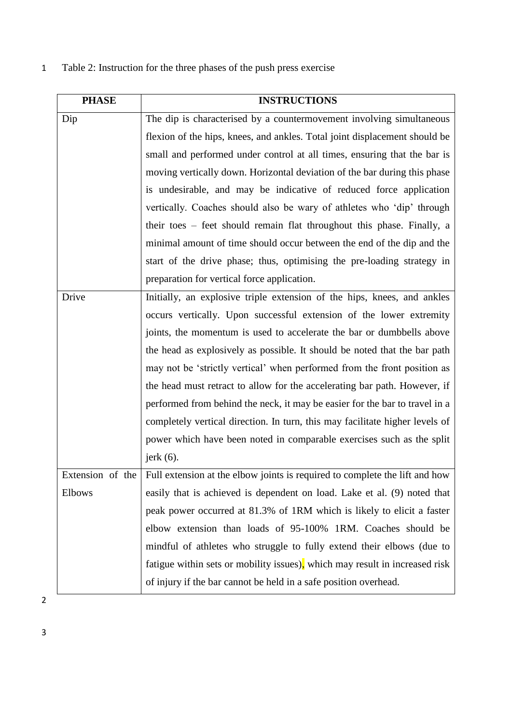## 1 Table 2: Instruction for the three phases of the push press exercise

| <b>PHASE</b>  | <b>INSTRUCTIONS</b>                                                                            |
|---------------|------------------------------------------------------------------------------------------------|
| Dip           | The dip is characterised by a countermovement involving simultaneous                           |
|               | flexion of the hips, knees, and ankles. Total joint displacement should be                     |
|               | small and performed under control at all times, ensuring that the bar is                       |
|               | moving vertically down. Horizontal deviation of the bar during this phase                      |
|               | is undesirable, and may be indicative of reduced force application                             |
|               | vertically. Coaches should also be wary of athletes who 'dip' through                          |
|               | their toes – feet should remain flat throughout this phase. Finally, a                         |
|               | minimal amount of time should occur between the end of the dip and the                         |
|               | start of the drive phase; thus, optimising the pre-loading strategy in                         |
|               | preparation for vertical force application.                                                    |
| Drive         | Initially, an explosive triple extension of the hips, knees, and ankles                        |
|               | occurs vertically. Upon successful extension of the lower extremity                            |
|               | joints, the momentum is used to accelerate the bar or dumbbells above                          |
|               | the head as explosively as possible. It should be noted that the bar path                      |
|               | may not be 'strictly vertical' when performed from the front position as                       |
|               | the head must retract to allow for the accelerating bar path. However, if                      |
|               | performed from behind the neck, it may be easier for the bar to travel in a                    |
|               | completely vertical direction. In turn, this may facilitate higher levels of                   |
|               | power which have been noted in comparable exercises such as the split                          |
|               | jerk $(6)$ .                                                                                   |
|               | Extension of the   Full extension at the elbow joints is required to complete the lift and how |
| <b>Elbows</b> | easily that is achieved is dependent on load. Lake et al. (9) noted that                       |
|               | peak power occurred at 81.3% of 1RM which is likely to elicit a faster                         |
|               | elbow extension than loads of 95-100% 1RM. Coaches should be                                   |
|               | mindful of athletes who struggle to fully extend their elbows (due to                          |
|               | fatigue within sets or mobility issues), which may result in increased risk                    |
|               | of injury if the bar cannot be held in a safe position overhead.                               |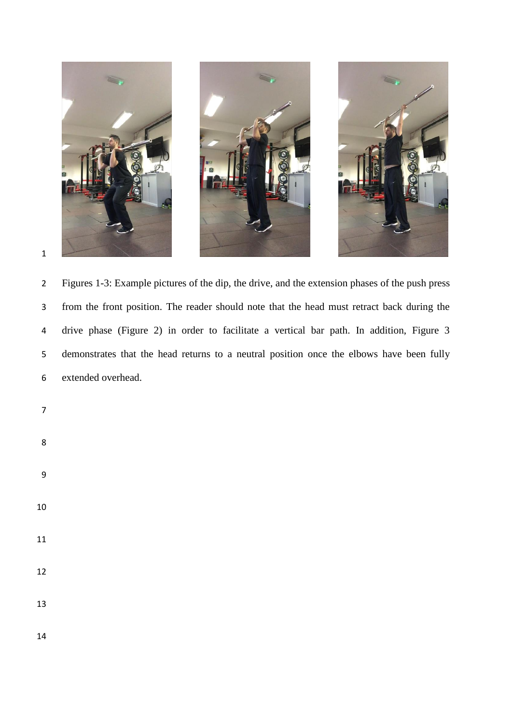

 Figures 1-3: Example pictures of the dip, the drive, and the extension phases of the push press from the front position. The reader should note that the head must retract back during the drive phase (Figure 2) in order to facilitate a vertical bar path. In addition, Figure 3 demonstrates that the head returns to a neutral position once the elbows have been fully extended overhead.

- 
- 
- 
- 
- 
- 
- 

- 
-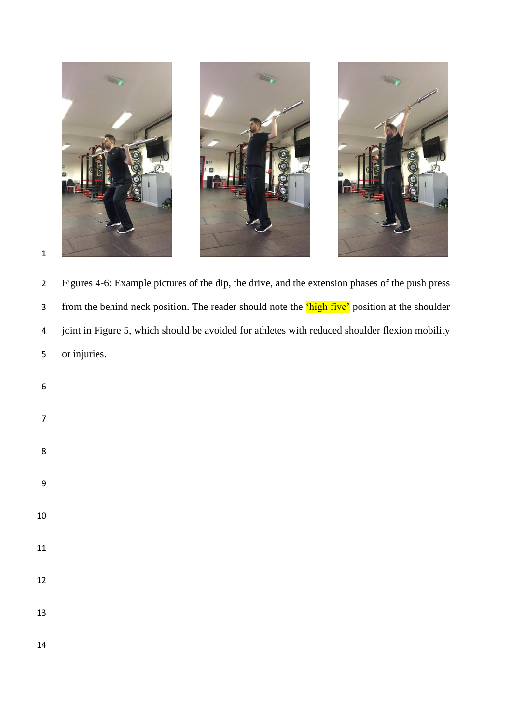

 Figures 4-6: Example pictures of the dip, the drive, and the extension phases of the push press 3 from the behind neck position. The reader should note the 'high five' position at the shoulder joint in Figure 5, which should be avoided for athletes with reduced shoulder flexion mobility or injuries.

- 
- 
- 
- 
- 
- 
- 
- 
- 
- 
- 
-